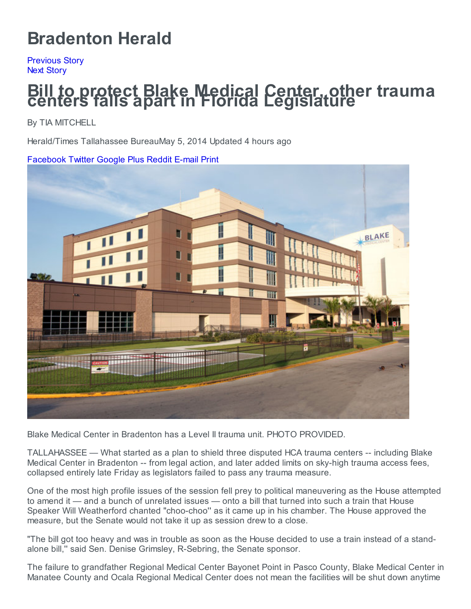# [Bradenton](http://www.bradenton.com/) Herald

[Previous](http://www.bradenton.com/2014/05/05/5137234/local-companies-redesign-websites.html?sp=/99/102/&ihp=0#storylink=prev) Story Next [Story](http://www.bradenton.com/2014/05/04/5137079/8-palmetto-based-feld-entertainment.html?sp=/99/102/&ihp=0#storylink=next)

## Bill to protect Blake Medical Center, other trauma centers falls apart in Florida Legislature

By TIA MITCHELL

Herald/Times Tallahassee BureauMay 5, 2014 Updated 4 hours ago

#### [Facebook](http://www.facebook.com/sharer/sharer.php?u=http%3A%2F%2Fwww.bradenton.com%2F2014%2F05%2F05%2F5137526%2Fbill-to-protect-blake-medical.html) [Twitter](https://twitter.com/share?text=Bill%20to%20protect%20Blake%20Medical%20Center%2C%20other%20trauma%20centers%20falls%20apart%20in%20Florida%20Legislature&url=http%3A%2F%2Fwww.bradenton.com%2F2014%2F05%2F05%2F5137526%2Fbill-to-protect-blake-medical.html) [Google](https://plus.google.com/share?url=%20http%3A%2F%2Fwww.bradenton.com%2F2014%2F05%2F05%2F5137526%2Fbill-to-protect-blake-medical.html) Plus [Reddit](http://www.reddit.com/submit?url=http%3A%2F%2Fwww.bradenton.com%2F2014%2F05%2F05%2F5137526%2Fbill-to-protect-blake-medical.html) [E-mail](mailto:?subject=Bill%20to%20protect%20Blake%20Medical%20Center,%20other%20trauma%20centers%20falls%20apart%20in%20Florida%20Legislature&body=http://www.bradenton.com/2014/05/05/5137526/bill-to-protect-blake-medical.html) [Print](javascript:window.print();)



Blake Medical Center in Bradenton has a Level II trauma unit. PHOTO PROVIDED.

TALLAHASSEE — What started as a plan to shield three disputed HCA trauma centers -- including Blake Medical Center in Bradenton -- from legal action, and later added limits on sky-high trauma access fees, collapsed entirely late Friday as legislators failed to pass any trauma measure.

One of the most high profile issues of the session fell prey to political maneuvering as the House attempted to amend it — and a bunch of unrelated issues — onto a bill that turned into such a train that House Speaker Will Weatherford chanted "choo-choo'' as it came up in his chamber. The House approved the measure, but the Senate would not take it up as session drew to a close.

"The bill got too heavy and was in trouble as soon as the House decided to use a train instead of a standalone bill,'' said Sen. Denise Grimsley, R-Sebring, the Senate sponsor.

The failure to grandfather Regional Medical Center Bayonet Point in Pasco County, Blake Medical Center in Manatee County and Ocala Regional Medical Center does not mean the facilities will be shut down anytime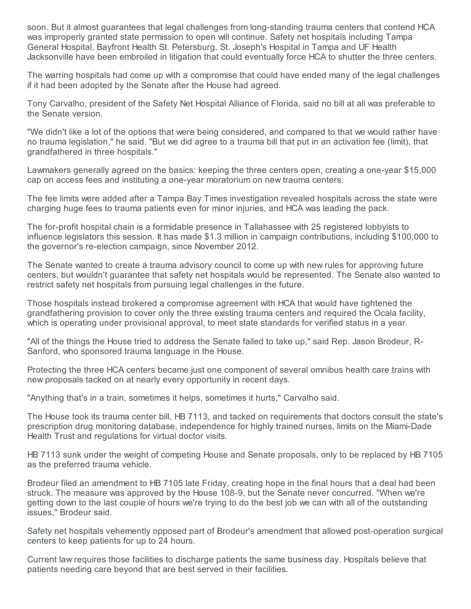soon. But it almost guarantees that legal challenges from long-standing trauma centers that contend HCA was improperly granted state permission to open will continue. Safety net hospitals including Tampa General Hospital, Bayfront Health St. Petersburg, St. Joseph's Hospital in Tampa and UF Health Jacksonville have been embroiled in litigation that could eventually force HCA to shutter the three centers.

The warring hospitals had come up with a compromise that could have ended many of the legal challenges if it had been adopted by the Senate after the House had agreed.

Tony Carvalho, president of the Safety Net Hospital Alliance of Florida, said no bill at all was preferable to the Senate version.

"We didn't like a lot of the options that were being considered, and compared to that we would rather have no trauma legislation," he said. "But we did agree to a trauma bill that put in an activation fee (limit), that grandfathered in three hospitals."

Lawmakers generally agreed on the basics: keeping the three centers open, creating a one-year \$15,000 cap on access fees and instituting a one-year moratorium on new trauma centers.

The fee limits were added after a Tampa Bay Times investigation revealed hospitals across the state were charging huge fees to trauma patients even for minor injuries, and HCA was leading the pack.

The for-profit hospital chain is a formidable presence in Tallahassee with 25 registered lobbyists to influence legislators this session. It has made \$1.3 million in campaign contributions, including \$100,000 to the governor's re-election campaign, since November 2012.

The Senate wanted to create a trauma advisory council to come up with new rules for approving future centers, but wouldn't guarantee that safety net hospitals would be represented. The Senate also wanted to restrict safety net hospitals from pursuing legal challenges in the future.

Those hospitals instead brokered a compromise agreement with HCA that would have tightened the grandfathering provision to cover only the three existing trauma centers and required the Ocala facility, which is operating under provisional approval, to meet state standards for verified status in a year.

"All of the things the House tried to address the Senate failed to take up," said Rep. Jason Brodeur, R-Sanford, who sponsored trauma language in the House.

Protecting the three HCA centers became just one component of several omnibus health care trains with new proposals tacked on at nearly every opportunity in recent days.

"Anything that's in a train, sometimes it helps, sometimes it hurts," Carvalho said.

The House took its trauma center bill, HB 7113, and tacked on requirements that doctors consult the state's prescription drug monitoring database, independence for highly trained nurses, limits on the Miami-Dade Health Trust and regulations for virtual doctor visits.

HB 7113 sunk under the weight of competing House and Senate proposals, only to be replaced by HB 7105 as the preferred trauma vehicle.

Brodeur filed an amendment to HB 7105 late Friday, creating hope in the final hours that a deal had been struck. The measure was approved by the House 108-9, but the Senate never concurred. "When we're getting down to the last couple of hours we're trying to do the best job we can with all of the outstanding issues," Brodeur said.

Safety net hospitals vehemently opposed part of Brodeur's amendment that allowed post-operation surgical centers to keep patients for up to 24 hours.

Current law requires those facilities to discharge patients the same business day. Hospitals believe that patients needing care beyond that are best served in their facilities.